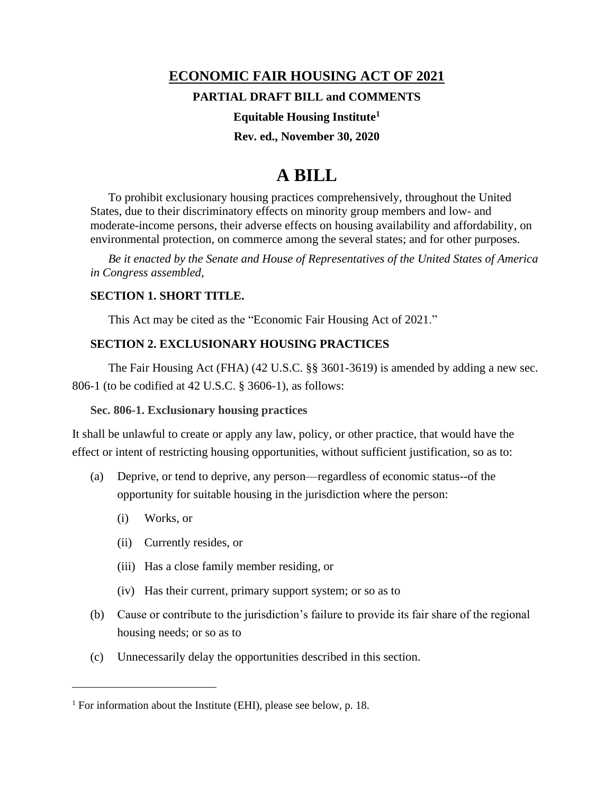## **ECONOMIC FAIR HOUSING ACT OF 2021**

## **PARTIAL DRAFT BILL and COMMENTS**

## **Equitable Housing Institute<sup>1</sup>**

## **Rev. ed., November 30, 2020**

# **A BILL**

To prohibit exclusionary housing practices comprehensively, throughout the United States, due to their discriminatory effects on minority group members and low- and moderate-income persons, their adverse effects on housing availability and affordability, on environmental protection, on commerce among the several states; and for other purposes.

*Be it enacted by the Senate and House of Representatives of the United States of America in Congress assembled,*

## **SECTION 1. SHORT TITLE.**

This Act may be cited as the "Economic Fair Housing Act of 2021."

## **SECTION 2. EXCLUSIONARY HOUSING PRACTICES**

The Fair Housing Act (FHA) (42 U.S.C. §§ 3601-3619) is amended by adding a new sec. 806-1 (to be codified at 42 U.S.C. § 3606-1), as follows:

## **Sec. 806-1. Exclusionary housing practices**

It shall be unlawful to create or apply any law, policy, or other practice, that would have the effect or intent of restricting housing opportunities, without sufficient justification, so as to:

- (a) Deprive, or tend to deprive, any person—regardless of economic status--of the opportunity for suitable housing in the jurisdiction where the person:
	- (i) Works, or
	- (ii) Currently resides, or
	- (iii) Has a close family member residing, or
	- (iv) Has their current, primary support system; or so as to
- (b) Cause or contribute to the jurisdiction's failure to provide its fair share of the regional housing needs; or so as to
- (c) Unnecessarily delay the opportunities described in this section.

<sup>&</sup>lt;sup>1</sup> For information about the Institute (EHI), please see below, p. 18.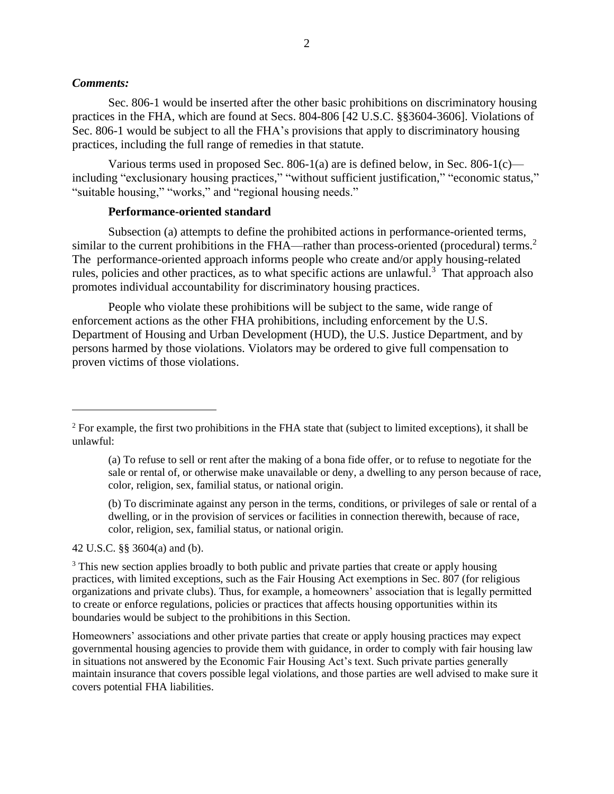#### *Comments:*

Sec. 806-1 would be inserted after the other basic prohibitions on discriminatory housing practices in the FHA, which are found at Secs. 804-806 [42 U.S.C. §§3604-3606]. Violations of Sec. 806-1 would be subject to all the FHA's provisions that apply to discriminatory housing practices, including the full range of remedies in that statute.

Various terms used in proposed Sec. 806-1(a) are is defined below, in Sec. 806-1(c) including "exclusionary housing practices," "without sufficient justification," "economic status," "suitable housing," "works," and "regional housing needs."

#### **Performance-oriented standard**

Subsection (a) attempts to define the prohibited actions in performance-oriented terms, similar to the current prohibitions in the FHA—rather than process-oriented (procedural) terms.<sup>2</sup> The performance-oriented approach informs people who create and/or apply housing-related rules, policies and other practices, as to what specific actions are unlawful.<sup>3</sup> That approach also promotes individual accountability for discriminatory housing practices.

People who violate these prohibitions will be subject to the same, wide range of enforcement actions as the other FHA prohibitions, including enforcement by the U.S. Department of Housing and Urban Development (HUD), the U.S. Justice Department, and by persons harmed by those violations. Violators may be ordered to give full compensation to proven victims of those violations.

(b) To discriminate against any person in the terms, conditions, or privileges of sale or rental of a dwelling, or in the provision of services or facilities in connection therewith, because of race, color, religion, sex, familial status, or national origin.

42 U.S.C. §§ 3604(a) and (b).

<sup>3</sup> This new section applies broadly to both public and private parties that create or apply housing practices, with limited exceptions, such as the Fair Housing Act exemptions in Sec. 807 (for religious organizations and private clubs). Thus, for example, a homeowners' association that is legally permitted to create or enforce regulations, policies or practices that affects housing opportunities within its boundaries would be subject to the prohibitions in this Section.

Homeowners' associations and other private parties that create or apply housing practices may expect governmental housing agencies to provide them with guidance, in order to comply with fair housing law in situations not answered by the Economic Fair Housing Act's text. Such private parties generally maintain insurance that covers possible legal violations, and those parties are well advised to make sure it covers potential FHA liabilities.

 $2^2$  For example, the first two prohibitions in the FHA state that (subject to limited exceptions), it shall be unlawful:

<sup>(</sup>a) To refuse to sell or rent after the making of a bona fide offer, or to refuse to negotiate for the sale or rental of, or otherwise make unavailable or deny, a dwelling to any person because of race, color, religion, sex, familial status, or national origin.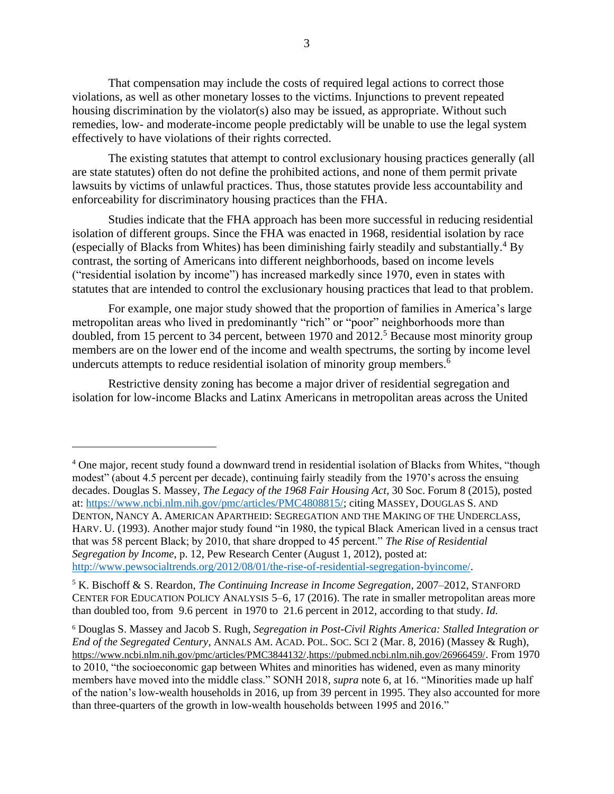That compensation may include the costs of required legal actions to correct those violations, as well as other monetary losses to the victims. Injunctions to prevent repeated housing discrimination by the violator(s) also may be issued, as appropriate. Without such remedies, low- and moderate-income people predictably will be unable to use the legal system effectively to have violations of their rights corrected.

The existing statutes that attempt to control exclusionary housing practices generally (all are state statutes) often do not define the prohibited actions, and none of them permit private lawsuits by victims of unlawful practices. Thus, those statutes provide less accountability and enforceability for discriminatory housing practices than the FHA.

Studies indicate that the FHA approach has been more successful in reducing residential isolation of different groups. Since the FHA was enacted in 1968, residential isolation by race (especially of Blacks from Whites) has been diminishing fairly steadily and substantially.<sup>4</sup> By contrast, the sorting of Americans into different neighborhoods, based on income levels ("residential isolation by income") has increased markedly since 1970, even in states with statutes that are intended to control the exclusionary housing practices that lead to that problem.

For example, one major study showed that the proportion of families in America's large metropolitan areas who lived in predominantly "rich" or "poor" neighborhoods more than doubled, from 15 percent to 34 percent, between 1970 and  $2012<sup>5</sup>$  Because most minority group members are on the lower end of the income and wealth spectrums, the sorting by income level undercuts attempts to reduce residential isolation of minority group members.<sup>6</sup>

Restrictive density zoning has become a major driver of residential segregation and isolation for low-income Blacks and Latinx Americans in metropolitan areas across the United

<sup>5</sup> K. Bischoff & S. Reardon, *The Continuing Increase in Income Segregation*, 2007–2012, STANFORD CENTER FOR EDUCATION POLICY ANALYSIS 5–6, 17 (2016). The rate in smaller metropolitan areas more than doubled too, from 9.6 percent in 1970 to 21.6 percent in 2012, according to that study. *Id.*

<sup>&</sup>lt;sup>4</sup> One major, recent study found a downward trend in residential isolation of Blacks from Whites, "though modest" (about 4.5 percent per decade), continuing fairly steadily from the 1970's across the ensuing decades. Douglas S. Massey, *The Legacy of the 1968 Fair Housing Act*, 30 Soc. Forum 8 (2015), posted at[: https://www.ncbi.nlm.nih.gov/pmc/articles/PMC4808815/;](https://www.ncbi.nlm.nih.gov/pmc/articles/PMC4808815/) citing MASSEY, DOUGLAS S. AND DENTON, NANCY A. AMERICAN APARTHEID: SEGREGATION AND THE MAKING OF THE UNDERCLASS, HARV. U. (1993). Another major study found "in 1980, the typical Black American lived in a census tract that was 58 percent Black; by 2010, that share dropped to 45 percent." *The Rise of Residential Segregation by Income*, p. 12, Pew Research Center (August 1, 2012), posted at: [http://www.pewsocialtrends.org/2012/08/01/the-rise-of-residential-segregation-byincome/.](http://www.pewsocialtrends.org/2012/08/01/the-rise-of-residential-segregation-byincome/)

<sup>6</sup> Douglas S. Massey and Jacob S. Rugh, *Segregation in Post-Civil Rights America: Stalled Integration or End of the Segregated Century*, ANNALS AM. ACAD. POL. SOC. SCI 2 (Mar. 8, 2016) (Massey & Rugh), <https://www.ncbi.nlm.nih.gov/pmc/articles/PMC3844132/>.<https://pubmed.ncbi.nlm.nih.gov/26966459/>. From 1970 to 2010, "the socioeconomic gap between Whites and minorities has widened, even as many minority members have moved into the middle class." SONH 2018*, supra* note 6, at 16. "Minorities made up half of the nation's low-wealth households in 2016, up from 39 percent in 1995. They also accounted for more than three-quarters of the growth in low-wealth households between 1995 and 2016."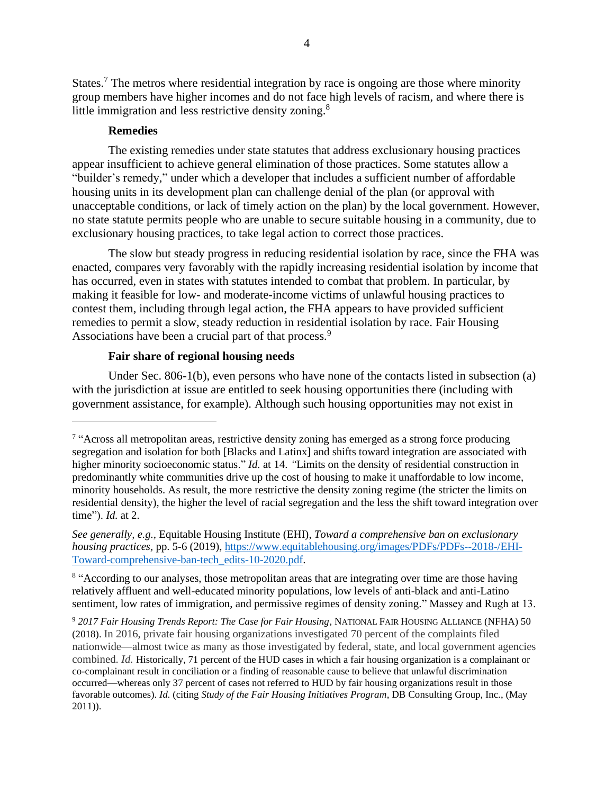States.<sup>7</sup> The metros where residential integration by race is ongoing are those where minority group members have higher incomes and do not face high levels of racism, and where there is little immigration and less restrictive density zoning.<sup>8</sup>

#### **Remedies**

The existing remedies under state statutes that address exclusionary housing practices appear insufficient to achieve general elimination of those practices. Some statutes allow a "builder's remedy," under which a developer that includes a sufficient number of affordable housing units in its development plan can challenge denial of the plan (or approval with unacceptable conditions, or lack of timely action on the plan) by the local government. However, no state statute permits people who are unable to secure suitable housing in a community, due to exclusionary housing practices, to take legal action to correct those practices.

The slow but steady progress in reducing residential isolation by race, since the FHA was enacted, compares very favorably with the rapidly increasing residential isolation by income that has occurred, even in states with statutes intended to combat that problem. In particular, by making it feasible for low- and moderate-income victims of unlawful housing practices to contest them, including through legal action, the FHA appears to have provided sufficient remedies to permit a slow, steady reduction in residential isolation by race. Fair Housing Associations have been a crucial part of that process.<sup>9</sup>

## **Fair share of regional housing needs**

Under Sec. 806-1(b), even persons who have none of the contacts listed in subsection (a) with the jurisdiction at issue are entitled to seek housing opportunities there (including with government assistance, for example). Although such housing opportunities may not exist in

<sup>8</sup> "According to our analyses, those metropolitan areas that are integrating over time are those having relatively affluent and well-educated minority populations, low levels of anti-black and anti-Latino sentiment, low rates of immigration, and permissive regimes of density zoning." Massey and Rugh at 13.

<sup>9</sup> *2017 Fair Housing Trends Report: The Case for Fair Housing*, NATIONAL FAIR HOUSING ALLIANCE (NFHA) 50 (2018). In 2016, private fair housing organizations investigated 70 percent of the complaints filed nationwide—almost twice as many as those investigated by federal, state, and local government agencies combined. *Id.* Historically, 71 percent of the HUD cases in which a fair housing organization is a complainant or co-complainant result in conciliation or a finding of reasonable cause to believe that unlawful discrimination occurred—whereas only 37 percent of cases not referred to HUD by fair housing organizations result in those favorable outcomes). *Id.* (citing *Study of the Fair Housing Initiatives Program*, DB Consulting Group, Inc., (May 2011)).

<sup>&</sup>lt;sup>7</sup> "Across all metropolitan areas, restrictive density zoning has emerged as a strong force producing segregation and isolation for both [Blacks and Latinx] and shifts toward integration are associated with higher minority socioeconomic status." *Id.* at 14. *"Limits on the density of residential construction in* predominantly white communities drive up the cost of housing to make it unaffordable to low income, minority households. As result, the more restrictive the density zoning regime (the stricter the limits on residential density), the higher the level of racial segregation and the less the shift toward integration over time"). *Id.* at 2.

*See generally, e.g.,* Equitable Housing Institute (EHI), *Toward a comprehensive ban on exclusionary housing practices,* pp. 5-6 (2019), [https://www.equitablehousing.org/images/PDFs/PDFs--2018-/EHI-](https://www.equitablehousing.org/images/PDFs/PDFs--2018-/EHI-Toward-comprehensive-ban-tech_edits-10-2020.pdf)[Toward-comprehensive-ban-tech\\_edits-10-2020.pdf.](https://www.equitablehousing.org/images/PDFs/PDFs--2018-/EHI-Toward-comprehensive-ban-tech_edits-10-2020.pdf)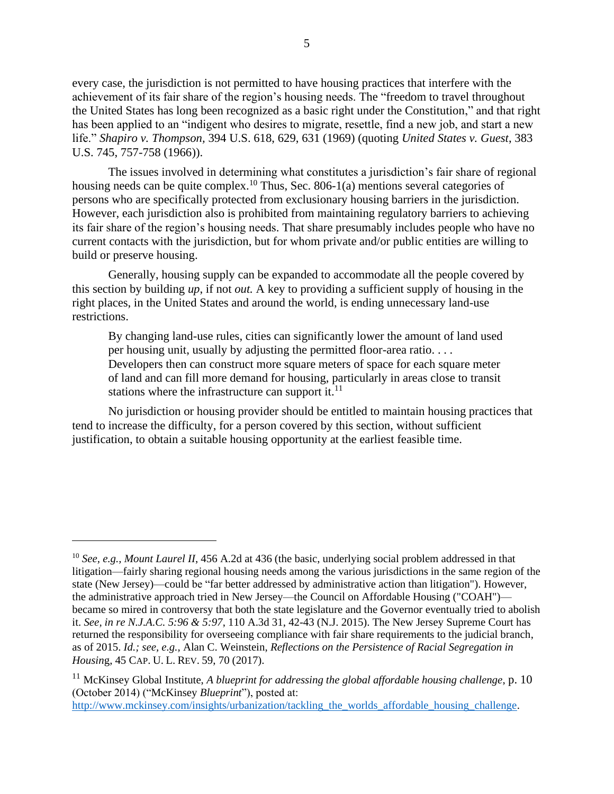every case, the jurisdiction is not permitted to have housing practices that interfere with the achievement of its fair share of the region's housing needs. The "freedom to travel throughout the United States has long been recognized as a basic right under the Constitution," and that right has been applied to an "indigent who desires to migrate, resettle, find a new job, and start a new life." *Shapiro v. Thompson,* 394 U.S. 618, 629, 631 (1969) (quoting *United States v. Guest*, 383 U.S. 745, 757-758 (1966)).

The issues involved in determining what constitutes a jurisdiction's fair share of regional housing needs can be quite complex.<sup>10</sup> Thus, Sec. 806-1(a) mentions several categories of persons who are specifically protected from exclusionary housing barriers in the jurisdiction. However, each jurisdiction also is prohibited from maintaining regulatory barriers to achieving its fair share of the region's housing needs. That share presumably includes people who have no current contacts with the jurisdiction, but for whom private and/or public entities are willing to build or preserve housing.

Generally, housing supply can be expanded to accommodate all the people covered by this section by building *up*, if not *out.* A key to providing a sufficient supply of housing in the right places, in the United States and around the world, is ending unnecessary land-use restrictions.

By changing land-use rules, cities can significantly lower the amount of land used per housing unit, usually by adjusting the permitted floor-area ratio. . . . Developers then can construct more square meters of space for each square meter of land and can fill more demand for housing, particularly in areas close to transit stations where the infrastructure can support it. $^{11}$ 

No jurisdiction or housing provider should be entitled to maintain housing practices that tend to increase the difficulty, for a person covered by this section, without sufficient justification, to obtain a suitable housing opportunity at the earliest feasible time.

[http://www.mckinsey.com/insights/urbanization/tackling\\_the\\_worlds\\_affordable\\_housing\\_challenge.](http://www.mckinsey.com/insights/urbanization/tackling_the_worlds_affordable_housing_challenge)

<sup>&</sup>lt;sup>10</sup> *See, e.g., Mount Laurel II,* 456 A.2d at 436 (the basic, underlying social problem addressed in that litigation—fairly sharing regional housing needs among the various jurisdictions in the same region of the state (New Jersey)—could be "far better addressed by administrative action than litigation"). However, the administrative approach tried in New Jersey—the Council on Affordable Housing ("COAH") became so mired in controversy that both the state legislature and the Governor eventually tried to abolish it. *See, in re N.J.A.C. 5:96 & 5:97*, 110 A.3d 31, 42-43 (N.J. 2015). The New Jersey Supreme Court has returned the responsibility for overseeing compliance with fair share requirements to the judicial branch, as of 2015. *Id.; see, e.g.,* Alan C. Weinstein, *Reflections on the Persistence of Racial Segregation in Housin*g, 45 CAP. U. L. REV. 59, 70 (2017).

<sup>11</sup> McKinsey Global Institute, *A blueprint for addressing the global affordable housing challenge*, p. 10 (October 2014) ("McKinsey *Blueprint*"), posted at: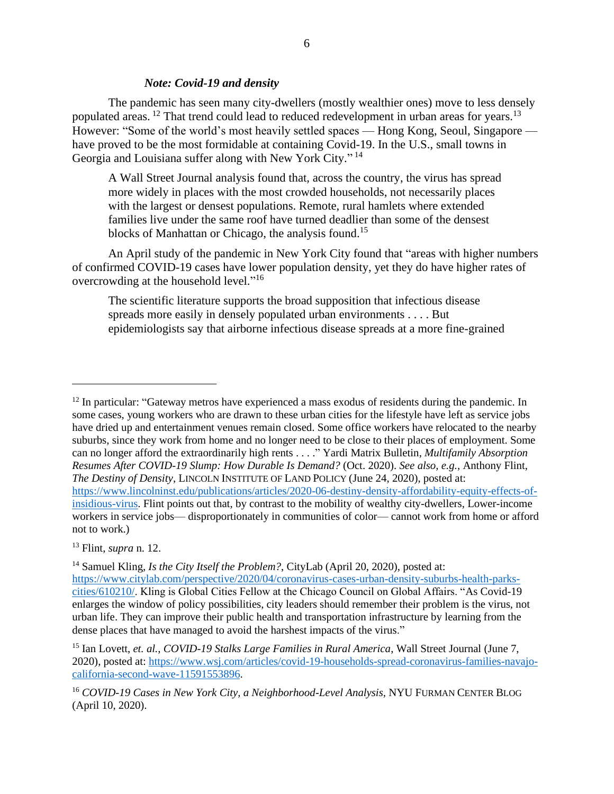#### *Note: Covid-19 and density*

The pandemic has seen many city-dwellers (mostly wealthier ones) move to less densely populated areas.<sup>12</sup> That trend could lead to reduced redevelopment in urban areas for years.<sup>13</sup> However: "Some of the world's most heavily settled spaces — Hong Kong, Seoul, Singapore have proved to be the most formidable at containing Covid-19. In the U.S., small towns in Georgia and Louisiana suffer along with New York City."<sup>14</sup>

A Wall Street Journal analysis found that, across the country, the virus has spread more widely in places with the most crowded households, not necessarily places with the largest or densest populations. Remote, rural hamlets where extended families live under the same roof have turned deadlier than some of the densest blocks of Manhattan or Chicago, the analysis found.<sup>15</sup>

An April study of the pandemic in New York City found that "areas with higher numbers of confirmed COVID-19 cases have lower population density, yet they do have higher rates of overcrowding at the household level."<sup>16</sup>

The scientific literature supports the broad supposition that infectious disease spreads more easily in densely populated urban environments . . . . But epidemiologists say that airborne infectious disease spreads at a more fine-grained

<sup>13</sup> Flint, *supra* n. 12.

 $12$  In particular: "Gateway metros have experienced a mass exodus of residents during the pandemic. In some cases, young workers who are drawn to these urban cities for the lifestyle have left as service jobs have dried up and entertainment venues remain closed. Some office workers have relocated to the nearby suburbs, since they work from home and no longer need to be close to their places of employment. Some can no longer afford the extraordinarily high rents . . . ." Yardi Matrix Bulletin, *Multifamily Absorption Resumes After COVID-19 Slump: How Durable Is Demand?* (Oct. 2020). *See also, e.g.,* Anthony Flint, *The Destiny of Density*, LINCOLN INSTITUTE OF LAND POLICY (June 24, 2020), posted at: [https://www.lincolninst.edu/publications/articles/2020-06-destiny-density-affordability-equity-effects-of](https://www.lincolninst.edu/publications/articles/2020-06-destiny-density-affordability-equity-effects-of-insidious-virus)[insidious-virus.](https://www.lincolninst.edu/publications/articles/2020-06-destiny-density-affordability-equity-effects-of-insidious-virus) Flint points out that, by contrast to the mobility of wealthy city-dwellers, Lower-income workers in service jobs— disproportionately in communities of color— cannot work from home or afford not to work.)

<sup>&</sup>lt;sup>14</sup> Samuel Kling, *Is the City Itself the Problem?*, CityLab (April 20, 2020), posted at: [https://www.citylab.com/perspective/2020/04/coronavirus-cases-urban-density-suburbs-health-parks](https://www.citylab.com/perspective/2020/04/coronavirus-cases-urban-density-suburbs-health-parks-cities/610210/)[cities/610210/.](https://www.citylab.com/perspective/2020/04/coronavirus-cases-urban-density-suburbs-health-parks-cities/610210/) Kling is Global Cities Fellow at the Chicago Council on Global Affairs. "As Covid-19 enlarges the window of policy possibilities, city leaders should remember their problem is the virus, not urban life. They can improve their public health and transportation infrastructure by learning from the dense places that have managed to avoid the harshest impacts of the virus."

<sup>15</sup> Ian Lovett, *et. al., COVID-19 Stalks Large Families in Rural America*, Wall Street Journal (June 7, 2020), posted at: [https://www.wsj.com/articles/covid-19-households-spread-coronavirus-families-navajo](https://www.wsj.com/articles/covid-19-households-spread-coronavirus-families-navajo-california-second-wave-11591553896)[california-second-wave-11591553896.](https://www.wsj.com/articles/covid-19-households-spread-coronavirus-families-navajo-california-second-wave-11591553896)

<sup>16</sup> *COVID-19 Cases in New York City, a Neighborhood-Level Analysis,* NYU FURMAN CENTER BLOG (April 10, 2020).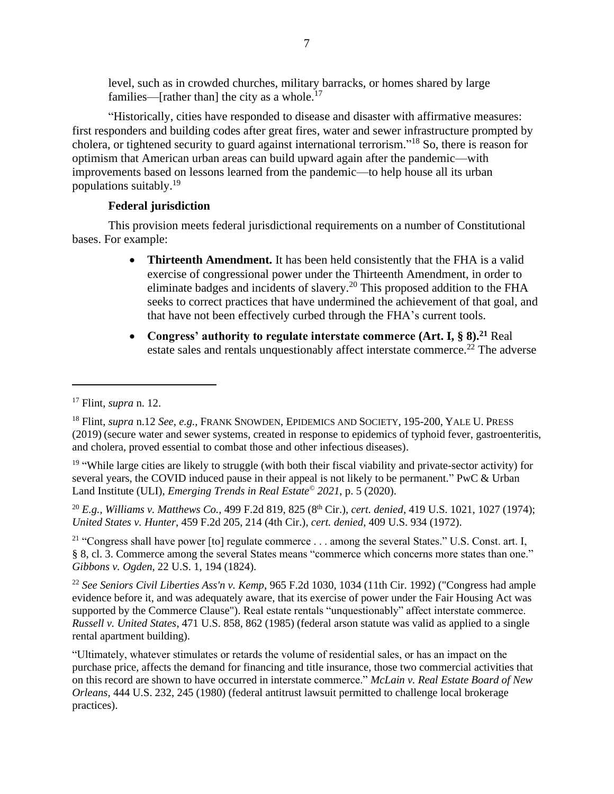level, such as in crowded churches, military barracks, or homes shared by large families—[rather than] the city as a whole.<sup>17</sup>

"Historically, cities have responded to disease and disaster with affirmative measures: first responders and building codes after great fires, water and sewer infrastructure prompted by cholera, or tightened security to guard against international terrorism."<sup>18</sup> So, there is reason for optimism that American urban areas can build upward again after the pandemic—with improvements based on lessons learned from the pandemic—to help house all its urban populations suitably. 19

## **Federal jurisdiction**

This provision meets federal jurisdictional requirements on a number of Constitutional bases. For example:

- **Thirteenth Amendment.** It has been held consistently that the FHA is a valid exercise of congressional power under the Thirteenth Amendment, in order to eliminate badges and incidents of slavery.<sup>20</sup> This proposed addition to the FHA seeks to correct practices that have undermined the achievement of that goal, and that have not been effectively curbed through the FHA's current tools.
- **Congress' authority to regulate interstate commerce (Art. I, § 8).<sup>21</sup>** Real estate sales and rentals unquestionably affect interstate commerce.<sup>22</sup> The adverse

<sup>19</sup> "While large cities are likely to struggle (with both their fiscal viability and private-sector activity) for several years, the COVID induced pause in their appeal is not likely to be permanent." PwC & Urban Land Institute (ULI), *Emerging Trends in Real Estate© 2021*, p. 5 (2020).

<sup>20</sup> *E.g., Williams v. Matthews Co.,* 499 F.2d 819, 825 (8<sup>th</sup> Cir.), *cert. denied*, 419 U.S. 1021, 1027 (1974); *United States v. Hunter*, 459 F.2d 205, 214 (4th Cir.), *cert. denied*, 409 U.S. 934 (1972).

<sup>21</sup> "Congress shall have power [to] regulate commerce . . . among the several States." U.S. Const. art. I, § 8, cl. 3. Commerce among the several States means "commerce which concerns more states than one." *Gibbons v. Ogden*, 22 U.S. 1, 194 (1824).

<sup>22</sup> *See Seniors Civil Liberties Ass'n v. Kemp*, 965 F.2d 1030, 1034 (11th Cir. 1992) ("Congress had ample evidence before it, and was adequately aware, that its exercise of power under the Fair Housing Act was supported by the Commerce Clause"). Real estate rentals "unquestionably" affect interstate commerce. *Russell v. United States*, 471 U.S. 858, 862 (1985) (federal arson statute was valid as applied to a single rental apartment building).

"Ultimately, whatever stimulates or retards the volume of residential sales, or has an impact on the purchase price, affects the demand for financing and title insurance, those two commercial activities that on this record are shown to have occurred in interstate commerce." *McLain v. Real Estate Board of New Orleans*, 444 U.S. 232, 245 (1980) (federal antitrust lawsuit permitted to challenge local brokerage practices).

<sup>17</sup> Flint, *supra* n. 12.

<sup>18</sup> Flint, *supra* n.12 *See, e.g.,* FRANK SNOWDEN, EPIDEMICS AND SOCIETY, 195-200, YALE U. PRESS (2019) (secure water and sewer systems, created in response to epidemics of typhoid fever, gastroenteritis, and cholera, proved essential to combat those and other infectious diseases).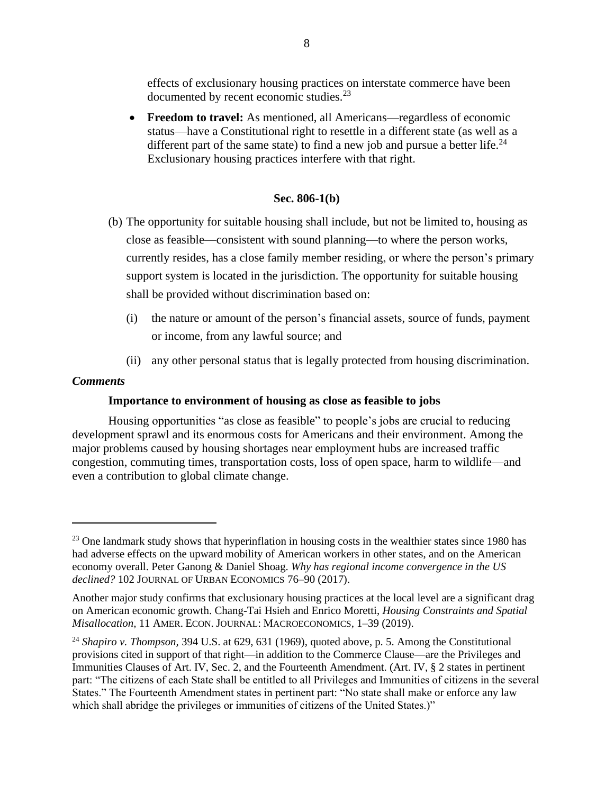effects of exclusionary housing practices on interstate commerce have been documented by recent economic studies.<sup>23</sup>

• **Freedom to travel:** As mentioned, all Americans—regardless of economic status—have a Constitutional right to resettle in a different state (as well as a different part of the same state) to find a new job and pursue a better life.<sup>24</sup> Exclusionary housing practices interfere with that right.

## **Sec. 806-1(b)**

- (b) The opportunity for suitable housing shall include, but not be limited to, housing as close as feasible—consistent with sound planning—to where the person works, currently resides, has a close family member residing, or where the person's primary support system is located in the jurisdiction. The opportunity for suitable housing shall be provided without discrimination based on:
	- (i) the nature or amount of the person's financial assets, source of funds, payment or income, from any lawful source; and
	- (ii) any other personal status that is legally protected from housing discrimination.

## *Comments*

## **Importance to environment of housing as close as feasible to jobs**

Housing opportunities "as close as feasible" to people's jobs are crucial to reducing development sprawl and its enormous costs for Americans and their environment. Among the major problems caused by housing shortages near employment hubs are increased traffic congestion, commuting times, transportation costs, loss of open space, harm to wildlife—and even a contribution to global climate change.

<sup>&</sup>lt;sup>23</sup> One landmark study shows that hyperinflation in housing costs in the wealthier states since 1980 has had adverse effects on the upward mobility of American workers in other states, and on the American economy overall. Peter Ganong & Daniel Shoag. *Why has regional income convergence in the US declined?* 102 JOURNAL OF URBAN ECONOMICS 76–90 (2017).

Another major study confirms that exclusionary housing practices at the local level are a significant drag on American economic growth. Chang-Tai Hsieh and Enrico Moretti, *Housing Constraints and Spatial Misallocation,* 11 AMER. ECON. JOURNAL: MACROECONOMICS, 1–39 (2019).

<sup>24</sup> *Shapiro v. Thompson,* 394 U.S. at 629, 631 (1969), quoted above, p. 5. Among the Constitutional provisions cited in support of that right—in addition to the Commerce Clause—are the Privileges and Immunities Clauses of Art. IV, Sec. 2, and the Fourteenth Amendment. (Art. IV, § 2 states in pertinent part: "The citizens of each State shall be entitled to all Privileges and Immunities of citizens in the several States." The Fourteenth Amendment states in pertinent part: "No state shall make or enforce any law which shall abridge the privileges or immunities of citizens of the United States.)"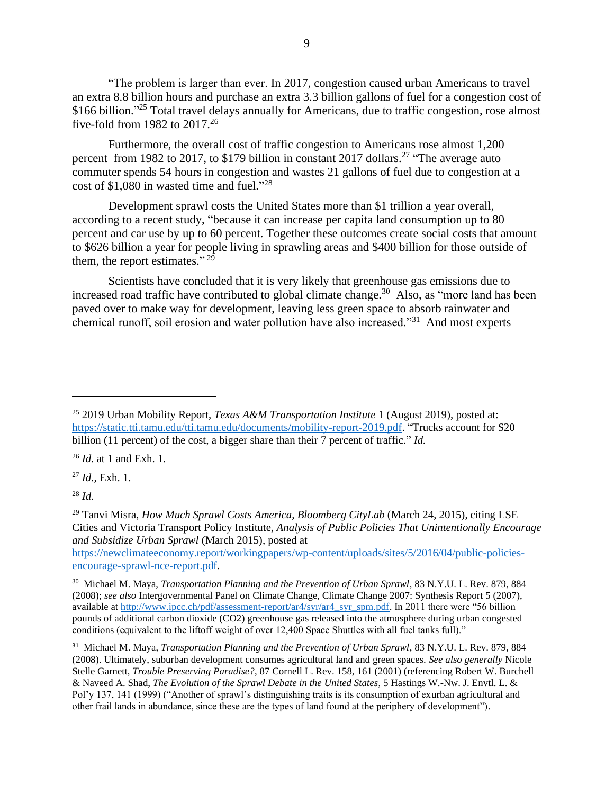"The problem is larger than ever. In 2017, congestion caused urban Americans to travel an extra 8.8 billion hours and purchase an extra 3.3 billion gallons of fuel for a congestion cost of \$166 billion."<sup>25</sup> Total travel delays annually for Americans, due to traffic congestion, rose almost five-fold from 1982 to  $2017<sup>26</sup>$ 

Furthermore, the overall cost of traffic congestion to Americans rose almost 1,200 percent from 1982 to 2017, to \$179 billion in constant 2017 dollars.<sup>27</sup> "The average auto commuter spends 54 hours in congestion and wastes 21 gallons of fuel due to congestion at a cost of \$1,080 in wasted time and fuel." 28

Development sprawl costs the United States more than \$1 trillion a year overall, according to a recent study, "because it can increase per capita land consumption up to 80 percent and car use by up to 60 percent. Together these outcomes create social costs that amount to \$626 billion a year for people living in sprawling areas and \$400 billion for those outside of them, the report estimates." $^{29}$ 

Scientists have concluded that it is very likely that greenhouse gas emissions due to increased road traffic have contributed to global climate change.<sup>30</sup> Also, as "more land has been paved over to make way for development, leaving less green space to absorb rainwater and chemical runoff, soil erosion and water pollution have also increased."<sup>31</sup> And most experts

<sup>26</sup> *Id.* at 1 and Exh. 1.

<sup>27</sup> *Id.,* Exh. 1.

<sup>28</sup> *Id.* 

[https://newclimateeconomy.report/workingpapers/wp-content/uploads/sites/5/2016/04/public-policies](https://newclimateeconomy.report/workingpapers/wp-content/uploads/sites/5/2016/04/public-policies-encourage-sprawl-nce-report.pdf)[encourage-sprawl-nce-report.pdf.](https://newclimateeconomy.report/workingpapers/wp-content/uploads/sites/5/2016/04/public-policies-encourage-sprawl-nce-report.pdf)

<sup>25</sup> 2019 Urban Mobility Report, *Texas A&M Transportation Institute* 1 (August 2019), posted at: [https://static.tti.tamu.edu/tti.tamu.edu/documents/mobility-report-2019.pdf.](https://static.tti.tamu.edu/tti.tamu.edu/documents/mobility-report-2019.pdf) "Trucks account for \$20 billion (11 percent) of the cost, a bigger share than their 7 percent of traffic." *Id.*

<sup>29</sup> Tanvi Misra, *How Much Sprawl Costs America, Bloomberg CityLab* (March 24, 2015), citing LSE Cities and Victoria Transport Policy Institute, *Analysis of Public Policies That Unintentionally Encourage and Subsidize Urban Sprawl* (March 2015), posted at

<sup>30</sup> Michael M. Maya, *Transportation Planning and the Prevention of Urban Sprawl*, 83 N.Y.U. L. Rev. 879, 884 (2008); *see also* Intergovernmental Panel on Climate Change, Climate Change 2007: Synthesis Report 5 (2007), available at [http://www.ipcc.ch/pdf/assessment-report/ar4/syr/ar4\\_syr\\_spm.pdf.](http://www.ipcc.ch/pdf/assessment-report/ar4/syr/ar4_syr_spm.pdf) In 2011 there were "56 billion pounds of additional carbon dioxide (CO2) greenhouse gas released into the atmosphere during urban congested conditions (equivalent to the liftoff weight of over 12,400 Space Shuttles with all fuel tanks full)."

<sup>31</sup> Michael M. Maya, *Transportation Planning and the Prevention of Urban Sprawl*, 83 N.Y.U. L. Rev. 879, 884 (2008). Ultimately, suburban development consumes agricultural land and green spaces. *See also generally* Nicole Stelle Garnett, *Trouble Preserving Paradise?*, 87 Cornell L. Rev. 158, 161 (2001) (referencing Robert W. Burchell & Naveed A. Shad, *The Evolution of the Sprawl Debate in the United States*, 5 Hastings W.-Nw. J. Envtl. L. & Pol'y 137, 141 (1999) ("Another of sprawl's distinguishing traits is its consumption of exurban agricultural and other frail lands in abundance, since these are the types of land found at the periphery of development").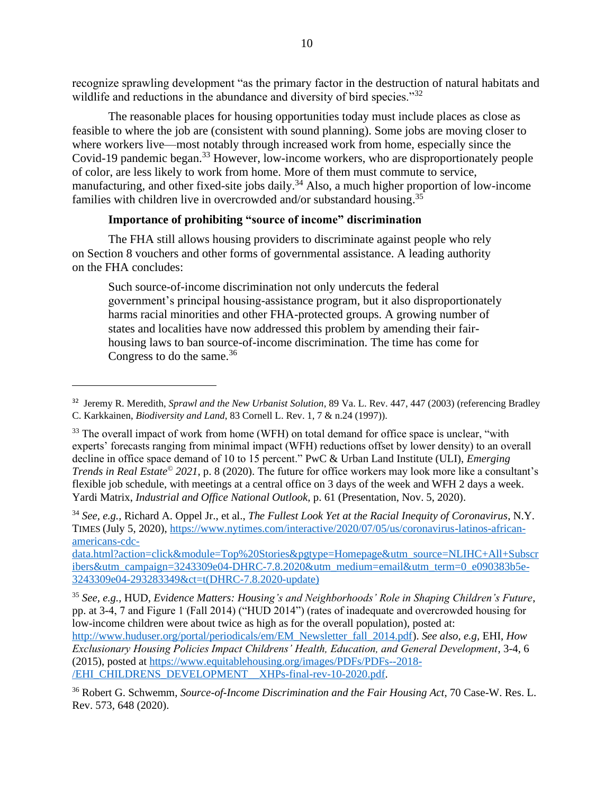recognize sprawling development "as the primary factor in the destruction of natural habitats and wildlife and reductions in the abundance and diversity of bird species." $32$ 

The reasonable places for housing opportunities today must include places as close as feasible to where the job are (consistent with sound planning). Some jobs are moving closer to where workers live—most notably through increased work from home, especially since the Covid-19 pandemic began.<sup>33</sup> However, low-income workers, who are disproportionately people of color, are less likely to work from home. More of them must commute to service, manufacturing, and other fixed-site jobs daily.<sup>34</sup> Also, a much higher proportion of low-income families with children live in overcrowded and/or substandard housing.<sup>35</sup>

## **Importance of prohibiting "source of income" discrimination**

The FHA still allows housing providers to discriminate against people who rely on Section 8 vouchers and other forms of governmental assistance. A leading authority on the FHA concludes:

Such source-of-income discrimination not only undercuts the federal government's principal housing-assistance program, but it also disproportionately harms racial minorities and other FHA-protected groups. A growing number of states and localities have now addressed this problem by amending their fairhousing laws to ban source-of-income discrimination. The time has come for Congress to do the same. $36$ 

<sup>34</sup> *See, e.g.,* Richard A. Oppel Jr., et al., *The Fullest Look Yet at the Racial Inequity of Coronavirus*, N.Y. TIMES (July 5, 2020), [https://www.nytimes.com/interactive/2020/07/05/us/coronavirus-latinos-african](https://www.nytimes.com/interactive/2020/07/05/us/coronavirus-latinos-african-americans-cdc-data.html?action=click&module=Top%20Stories&pgtype=Homepage&utm_source=NLIHC+All+Subscribers&utm_campaign=3243309e04-DHRC-7.8.2020&utm_medium=email&utm_term=0_e090383b5e-3243309e04-293283349&ct=t(DHRC-7.8.2020-update))[americans-cdc-](https://www.nytimes.com/interactive/2020/07/05/us/coronavirus-latinos-african-americans-cdc-data.html?action=click&module=Top%20Stories&pgtype=Homepage&utm_source=NLIHC+All+Subscribers&utm_campaign=3243309e04-DHRC-7.8.2020&utm_medium=email&utm_term=0_e090383b5e-3243309e04-293283349&ct=t(DHRC-7.8.2020-update))

[data.html?action=click&module=Top%20Stories&pgtype=Homepage&utm\\_source=NLIHC+All+Subscr](https://www.nytimes.com/interactive/2020/07/05/us/coronavirus-latinos-african-americans-cdc-data.html?action=click&module=Top%20Stories&pgtype=Homepage&utm_source=NLIHC+All+Subscribers&utm_campaign=3243309e04-DHRC-7.8.2020&utm_medium=email&utm_term=0_e090383b5e-3243309e04-293283349&ct=t(DHRC-7.8.2020-update)) [ibers&utm\\_campaign=3243309e04-DHRC-7.8.2020&utm\\_medium=email&utm\\_term=0\\_e090383b5e-](https://www.nytimes.com/interactive/2020/07/05/us/coronavirus-latinos-african-americans-cdc-data.html?action=click&module=Top%20Stories&pgtype=Homepage&utm_source=NLIHC+All+Subscribers&utm_campaign=3243309e04-DHRC-7.8.2020&utm_medium=email&utm_term=0_e090383b5e-3243309e04-293283349&ct=t(DHRC-7.8.2020-update))[3243309e04-293283349&ct=t\(DHRC-7.8.2020-update\)](https://www.nytimes.com/interactive/2020/07/05/us/coronavirus-latinos-african-americans-cdc-data.html?action=click&module=Top%20Stories&pgtype=Homepage&utm_source=NLIHC+All+Subscribers&utm_campaign=3243309e04-DHRC-7.8.2020&utm_medium=email&utm_term=0_e090383b5e-3243309e04-293283349&ct=t(DHRC-7.8.2020-update))

<sup>35</sup> *See, e.g.,* HUD, *Evidence Matters: Housing's and Neighborhoods' Role in Shaping Children's Future*, pp. at 3-4, 7 and Figure 1 (Fall 2014) ("HUD 2014") (rates of inadequate and overcrowded housing for low-income children were about twice as high as for the overall population), posted at: [http://www.huduser.org/portal/periodicals/em/EM\\_Newsletter\\_fall\\_2014.pdf\)](http://www.huduser.org/portal/periodicals/em/EM_Newsletter_fall_2014.pdf). *See also, e.g,* EHI, *How Exclusionary Housing Policies Impact Childrens' Health, Education, and General Development*, 3-4, 6 (2015), posted at [https://www.equitablehousing.org/images/PDFs/PDFs--2018-](https://www.equitablehousing.org/images/PDFs/PDFs--2018-/EHI_CHILDRENS_DEVELOPMENT__XHPs-final-rev-10-2020.pdf) [/EHI\\_CHILDRENS\\_DEVELOPMENT\\_\\_XHPs-final-rev-10-2020.pdf.](https://www.equitablehousing.org/images/PDFs/PDFs--2018-/EHI_CHILDRENS_DEVELOPMENT__XHPs-final-rev-10-2020.pdf)

<sup>32</sup> Jeremy R. Meredith, *Sprawl and the New Urbanist Solution*, 89 Va. L. Rev. 447, 447 (2003) (referencing Bradley C. Karkkainen, *Biodiversity and Land*, 83 Cornell L. Rev. 1, 7 & n.24 (1997)).

<sup>&</sup>lt;sup>33</sup> The overall impact of work from home (WFH) on total demand for office space is unclear, "with experts' forecasts ranging from minimal impact (WFH) reductions offset by lower density) to an overall decline in office space demand of 10 to 15 percent." PwC & Urban Land Institute (ULI), *Emerging Trends in Real Estate© 2021*, p. 8 (2020). The future for office workers may look more like a consultant's flexible job schedule, with meetings at a central office on 3 days of the week and WFH 2 days a week. Yardi Matrix, *Industrial and Office National Outlook,* p. 61 (Presentation, Nov. 5, 2020).

<sup>36</sup> Robert G. Schwemm, *Source-of-Income Discrimination and the Fair Housing Act*, 70 Case-W. Res. L. Rev. 573, 648 (2020).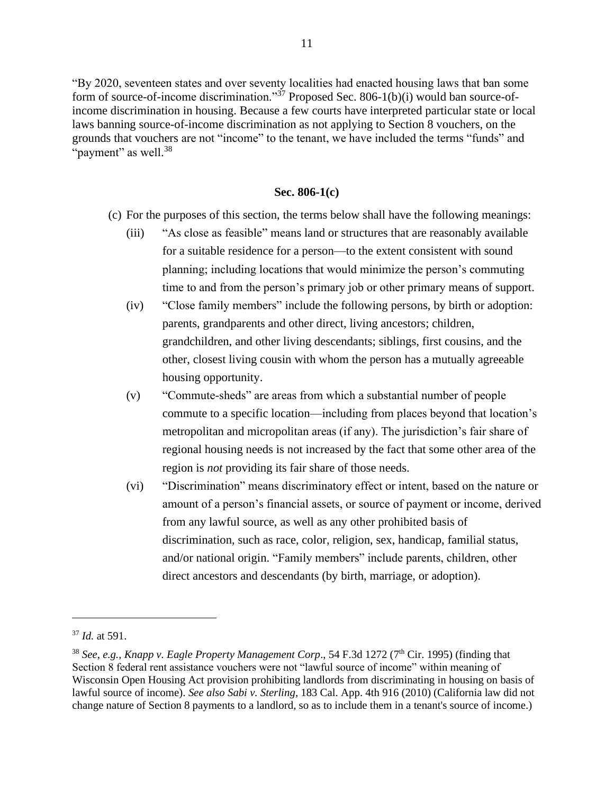"By 2020, seventeen states and over seventy localities had enacted housing laws that ban some form of source-of-income discrimination." $\frac{37}{7}$  Proposed Sec. 806-1(b)(i) would ban source-ofincome discrimination in housing. Because a few courts have interpreted particular state or local laws banning source-of-income discrimination as not applying to Section 8 vouchers, on the grounds that vouchers are not "income" to the tenant, we have included the terms "funds" and "payment" as well.<sup>38</sup>

#### **Sec. 806-1(c)**

- (c) For the purposes of this section, the terms below shall have the following meanings:
	- (iii) "As close as feasible" means land or structures that are reasonably available for a suitable residence for a person—to the extent consistent with sound planning; including locations that would minimize the person's commuting time to and from the person's primary job or other primary means of support.
	- (iv) "Close family members" include the following persons, by birth or adoption: parents, grandparents and other direct, living ancestors; children, grandchildren, and other living descendants; siblings, first cousins, and the other, closest living cousin with whom the person has a mutually agreeable housing opportunity.
	- (v) "Commute-sheds" are areas from which a substantial number of people commute to a specific location—including from places beyond that location's metropolitan and micropolitan areas (if any). The jurisdiction's fair share of regional housing needs is not increased by the fact that some other area of the region is *not* providing its fair share of those needs.
	- (vi) "Discrimination" means discriminatory effect or intent, based on the nature or amount of a person's financial assets, or source of payment or income, derived from any lawful source, as well as any other prohibited basis of discrimination, such as race, color, religion, sex, handicap, familial status, and/or national origin. "Family members" include parents, children, other direct ancestors and descendants (by birth, marriage, or adoption).

<sup>37</sup> *Id.* at 591.

<sup>&</sup>lt;sup>38</sup> See, e.g., Knapp v. Eagle Property Management Corp., 54 F.3d 1272 (7<sup>th</sup> Cir. 1995) (finding that Section 8 federal rent assistance vouchers were not "lawful source of income" within meaning of Wisconsin Open Housing Act provision prohibiting landlords from discriminating in housing on basis of lawful source of income). *See also Sabi v. Sterling,* 183 Cal. App. 4th 916 (2010) (California law did not change nature of Section 8 payments to a landlord, so as to include them in a tenant's source of income.)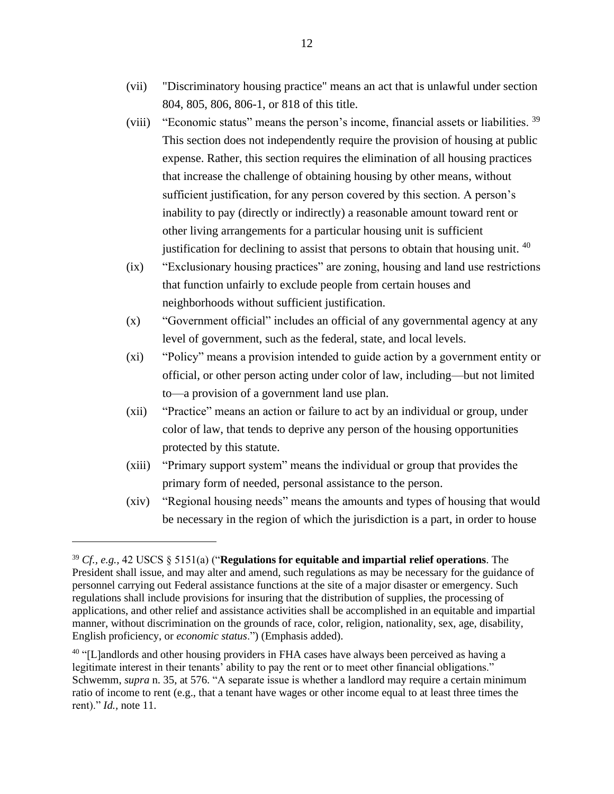- (vii) "Discriminatory housing practice" means an act that is unlawful under section 804, 805, 806, 806-1, or 818 of this title.
- (viii) "Economic status" means the person's income, financial assets or liabilities. <sup>39</sup> This section does not independently require the provision of housing at public expense. Rather, this section requires the elimination of all housing practices that increase the challenge of obtaining housing by other means, without sufficient justification, for any person covered by this section. A person's inability to pay (directly or indirectly) a reasonable amount toward rent or other living arrangements for a particular housing unit is sufficient justification for declining to assist that persons to obtain that housing unit. <sup>40</sup>
- (ix) "Exclusionary housing practices" are zoning, housing and land use restrictions that function unfairly to exclude people from certain houses and neighborhoods without sufficient justification.
- (x) "Government official" includes an official of any governmental agency at any level of government, such as the federal, state, and local levels.
- (xi) "Policy" means a provision intended to guide action by a government entity or official, or other person acting under color of law, including—but not limited to—a provision of a government land use plan.
- (xii) "Practice" means an action or failure to act by an individual or group, under color of law, that tends to deprive any person of the housing opportunities protected by this statute.
- (xiii) "Primary support system" means the individual or group that provides the primary form of needed, personal assistance to the person.
- (xiv) "Regional housing needs" means the amounts and types of housing that would be necessary in the region of which the jurisdiction is a part, in order to house

<sup>39</sup> *Cf., e.g.,* 42 USCS § 5151(a) ("**Regulations for equitable and impartial relief operations**. The President shall issue, and may alter and amend, such regulations as may be necessary for the guidance of personnel carrying out Federal assistance functions at the site of a major disaster or emergency. Such regulations shall include provisions for insuring that the distribution of supplies, the processing of applications, and other relief and assistance activities shall be accomplished in an equitable and impartial manner, without discrimination on the grounds of race, color, religion, nationality, sex, age, disability, English proficiency, or *economic status*.") (Emphasis added).

 $40$  "[L]andlords and other housing providers in FHA cases have always been perceived as having a legitimate interest in their tenants' ability to pay the rent or to meet other financial obligations." Schwemm, *supra* n. 35, at 576. "A separate issue is whether a landlord may require a certain minimum ratio of income to rent (e.g., that a tenant have wages or other income equal to at least three times the rent)." *Id.,* note 11.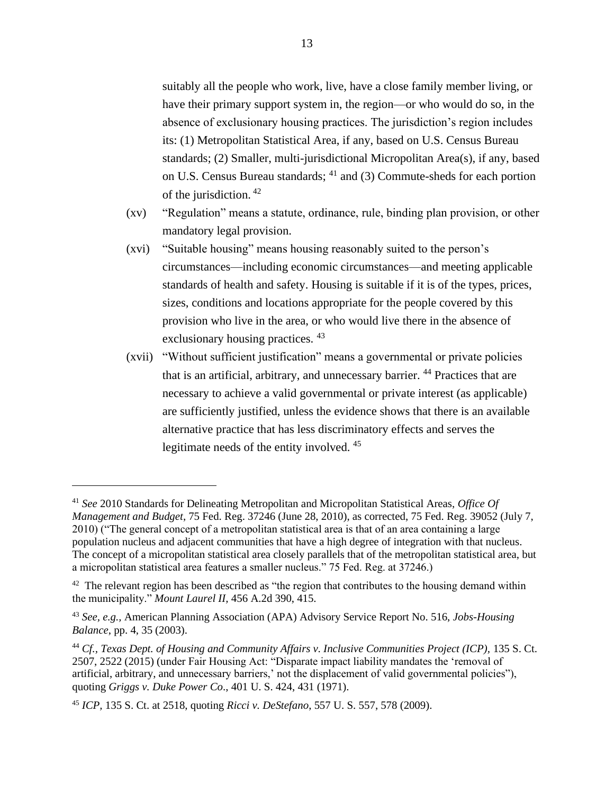suitably all the people who work, live, have a close family member living, or have their primary support system in, the region—or who would do so, in the absence of exclusionary housing practices. The jurisdiction's region includes its: (1) Metropolitan Statistical Area, if any, based on U.S. Census Bureau standards; (2) Smaller, multi-jurisdictional Micropolitan Area(s), if any, based on U.S. Census Bureau standards; <sup>41</sup> and (3) Commute-sheds for each portion of the jurisdiction. <sup>42</sup>

- (xv) "Regulation" means a statute, ordinance, rule, binding plan provision, or other mandatory legal provision.
- (xvi) "Suitable housing" means housing reasonably suited to the person's circumstances—including economic circumstances—and meeting applicable standards of health and safety. Housing is suitable if it is of the types, prices, sizes, conditions and locations appropriate for the people covered by this provision who live in the area, or who would live there in the absence of exclusionary housing practices. <sup>43</sup>
- (xvii) "Without sufficient justification" means a governmental or private policies that is an artificial, arbitrary, and unnecessary barrier. <sup>44</sup> Practices that are necessary to achieve a valid governmental or private interest (as applicable) are sufficiently justified, unless the evidence shows that there is an available alternative practice that has less discriminatory effects and serves the legitimate needs of the entity involved. <sup>45</sup>

<sup>41</sup> *See* 2010 Standards for Delineating Metropolitan and Micropolitan Statistical Areas, *Office Of Management and Budget*, 75 Fed. Reg. 37246 (June 28, 2010), as corrected, 75 Fed. Reg. 39052 (July 7, 2010) ("The general concept of a metropolitan statistical area is that of an area containing a large population nucleus and adjacent communities that have a high degree of integration with that nucleus. The concept of a micropolitan statistical area closely parallels that of the metropolitan statistical area, but a micropolitan statistical area features a smaller nucleus." 75 Fed. Reg. at 37246.)

 $42$  The relevant region has been described as "the region that contributes to the housing demand within the municipality." *Mount Laurel II,* 456 A.2d 390, 415.

<sup>43</sup> *See, e.g.,* American Planning Association (APA) Advisory Service Report No. 516, *Jobs-Housing Balance*, pp. 4, 35 (2003).

<sup>44</sup> *Cf., Texas Dept. of Housing and Community Affairs v. Inclusive Communities Project (ICP),* 135 S. Ct. 2507, 2522 (2015) (under Fair Housing Act: "Disparate impact liability mandates the 'removal of artificial, arbitrary, and unnecessary barriers,' not the displacement of valid governmental policies"), quoting *Griggs v. Duke Power Co*., 401 U. S. 424, 431 (1971).

<sup>45</sup> *ICP,* 135 S. Ct. at 2518, quoting *Ricci v. DeStefano*, 557 U. S. 557, 578 (2009).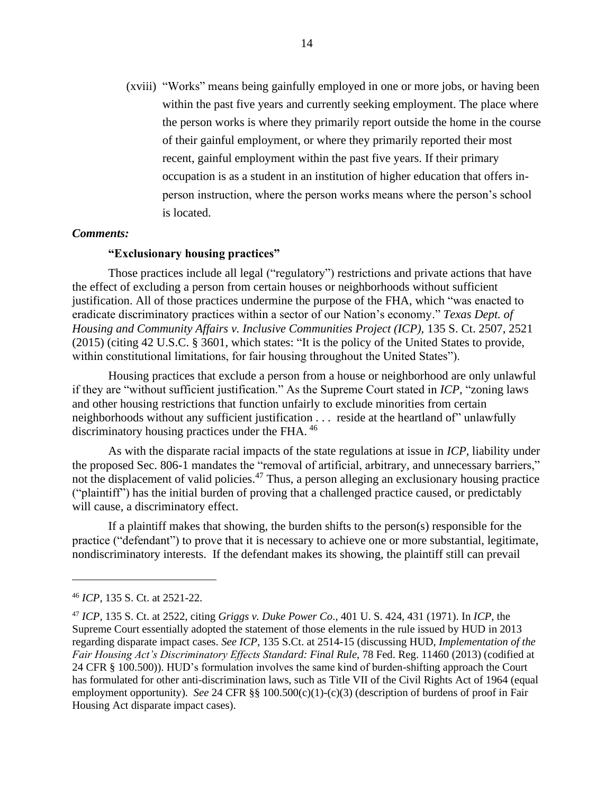(xviii) "Works" means being gainfully employed in one or more jobs, or having been within the past five years and currently seeking employment. The place where the person works is where they primarily report outside the home in the course of their gainful employment, or where they primarily reported their most recent, gainful employment within the past five years. If their primary occupation is as a student in an institution of higher education that offers inperson instruction, where the person works means where the person's school is located.

#### *Comments:*

#### **"Exclusionary housing practices"**

Those practices include all legal ("regulatory") restrictions and private actions that have the effect of excluding a person from certain houses or neighborhoods without sufficient justification. All of those practices undermine the purpose of the FHA, which "was enacted to eradicate discriminatory practices within a sector of our Nation's economy." *Texas Dept. of Housing and Community Affairs v. Inclusive Communities Project (ICP),* 135 S. Ct. 2507, 2521 (2015) (citing 42 U.S.C. § 3601, which states: "It is the policy of the United States to provide, within constitutional limitations, for fair housing throughout the United States").

Housing practices that exclude a person from a house or neighborhood are only unlawful if they are "without sufficient justification." As the Supreme Court stated in *ICP,* "zoning laws and other housing restrictions that function unfairly to exclude minorities from certain neighborhoods without any sufficient justification . . . reside at the heartland of" unlawfully discriminatory housing practices under the FHA. <sup>46</sup>

As with the disparate racial impacts of the state regulations at issue in *ICP*, liability under the proposed Sec. 806-1 mandates the "removal of artificial, arbitrary, and unnecessary barriers," not the displacement of valid policies.<sup>47</sup> Thus, a person alleging an exclusionary housing practice ("plaintiff") has the initial burden of proving that a challenged practice caused, or predictably will cause, a discriminatory effect.

If a plaintiff makes that showing, the burden shifts to the person(s) responsible for the practice ("defendant") to prove that it is necessary to achieve one or more substantial, legitimate, nondiscriminatory interests. If the defendant makes its showing, the plaintiff still can prevail

<sup>46</sup> *ICP,* 135 S. Ct. at 2521-22.

<sup>47</sup> *ICP,* 135 S. Ct. at 2522, citing *Griggs v. Duke Power Co*., 401 U. S. 424, 431 (1971). In *ICP*, the Supreme Court essentially adopted the statement of those elements in the rule issued by HUD in 2013 regarding disparate impact cases. *See ICP,* 135 S.Ct. at 2514-15 (discussing HUD, *Implementation of the Fair Housing Act's Discriminatory Effects Standard: Final Rule*, 78 Fed. Reg. 11460 (2013) (codified at 24 CFR § 100.500)). HUD's formulation involves the same kind of burden-shifting approach the Court has formulated for other anti-discrimination laws, such as Title VII of the Civil Rights Act of 1964 (equal employment opportunity). *See* 24 CFR §§ 100.500(c)(1)-(c)(3) (description of burdens of proof in Fair Housing Act disparate impact cases).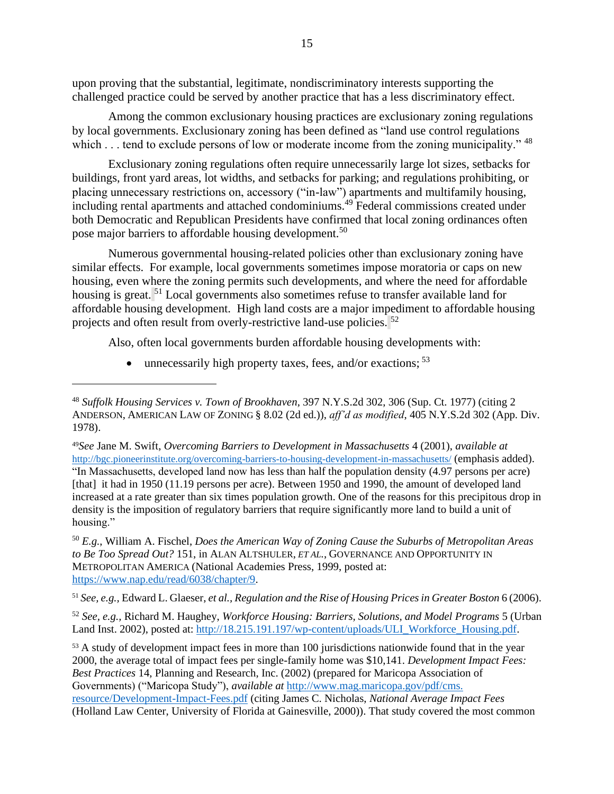upon proving that the substantial, legitimate, nondiscriminatory interests supporting the challenged practice could be served by another practice that has a less discriminatory effect.

Among the common exclusionary housing practices are exclusionary zoning regulations by local governments. Exclusionary zoning has been defined as "land use control regulations which . . . tend to exclude persons of low or moderate income from the zoning municipality." <sup>48</sup>

Exclusionary zoning regulations often require unnecessarily large lot sizes, setbacks for buildings, front yard areas, lot widths, and setbacks for parking; and regulations prohibiting, or placing unnecessary restrictions on, accessory ("in-law") apartments and multifamily housing, including rental apartments and attached condominiums.<sup>49</sup> Federal commissions created under both Democratic and Republican Presidents have confirmed that local zoning ordinances often pose major barriers to affordable housing development.<sup>50</sup>

Numerous governmental housing-related policies other than exclusionary zoning have similar effects. For example, local governments sometimes impose moratoria or caps on new housing, even where the zoning permits such developments, and where the need for affordable housing is great. <sup>51</sup> Local governments also sometimes refuse to transfer available land for affordable housing development. High land costs are a major impediment to affordable housing projects and often result from overly-restrictive land-use policies. <sup>52</sup>

Also, often local governments burden affordable housing developments with:

• unnecessarily high property taxes, fees, and/or exactions;  $53$ 

<sup>51</sup> *See, e.g.,* Edward L. Glaeser, *et al., Regulation and the Rise of Housing Prices in Greater Boston* 6 (2006).

<sup>52</sup> *See, e.g.,* Richard M. Haughey, *Workforce Housing: Barriers, Solutions, and Model Programs* 5 (Urban Land Inst. 2002), posted at[: http://18.215.191.197/wp-content/uploads/ULI\\_Workforce\\_Housing.pdf.](http://18.215.191.197/wp-content/uploads/ULI_Workforce_Housing.pdf)

<sup>53</sup> A study of development impact fees in more than 100 jurisdictions nationwide found that in the year 2000, the average total of impact fees per single-family home was \$10,141. *Development Impact Fees: Best Practices* 14, Planning and Research, Inc. (2002) (prepared for Maricopa Association of Governments) ("Maricopa Study"), *available at* [http://www.mag.maricopa.gov/pdf/cms.](http://www.mag.maricopa.gov/pdf/cms.%20resource/Development-Impact-Fees.pdf)  [resource/Development-Impact-Fees.pdf](http://www.mag.maricopa.gov/pdf/cms.%20resource/Development-Impact-Fees.pdf) (citing James C. Nicholas, *National Average Impact Fees* (Holland Law Center, University of Florida at Gainesville, 2000)). That study covered the most common

<sup>48</sup> *Suffolk Housing Services v. Town of Brookhaven*, 397 N.Y.S.2d 302, 306 (Sup. Ct. 1977) (citing 2 ANDERSON, AMERICAN LAW OF ZONING § 8.02 (2d ed.)), *aff'd as modified*, 405 N.Y.S.2d 302 (App. Div. 1978).

<sup>49</sup>*See* Jane M. Swift, *Overcoming Barriers to Development in Massachusetts* 4 (2001), *available at* <http://bgc.pioneerinstitute.org/overcoming-barriers-to-housing-development-in-massachusetts/> (emphasis added). "In Massachusetts, developed land now has less than half the population density (4.97 persons per acre) [that] it had in 1950 (11.19 persons per acre). Between 1950 and 1990, the amount of developed land increased at a rate greater than six times population growth. One of the reasons for this precipitous drop in density is the imposition of regulatory barriers that require significantly more land to build a unit of housing."

<sup>50</sup> *E.g.*, William A. Fischel, *Does the American Way of Zoning Cause the Suburbs of Metropolitan Areas to Be Too Spread Out?* 151, in ALAN ALTSHULER, *ET AL.*, GOVERNANCE AND OPPORTUNITY IN METROPOLITAN AMERICA (National Academies Press, 1999, posted at: [https://www.nap.edu/read/6038/chapter/9.](https://www.nap.edu/read/6038/chapter/9)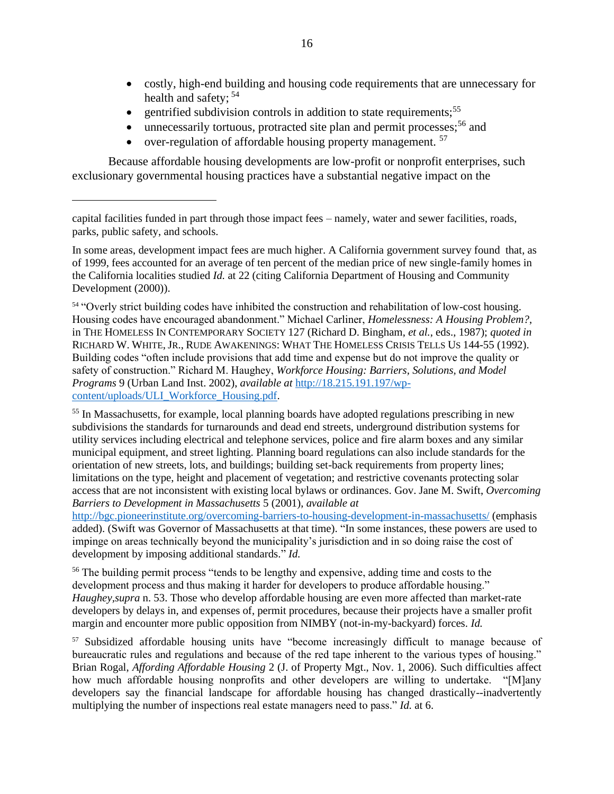- costly, high-end building and housing code requirements that are unnecessary for health and safety; <sup>54</sup>
- gentrified subdivision controls in addition to state requirements;<sup>55</sup>
- unnecessarily tortuous, protracted site plan and permit processes;  $56$  and
- over-regulation of affordable housing property management.  $57$

Because affordable housing developments are low-profit or nonprofit enterprises, such exclusionary governmental housing practices have a substantial negative impact on the

In some areas, development impact fees are much higher. A California government survey found that, as of 1999, fees accounted for an average of ten percent of the median price of new single-family homes in the California localities studied *Id.* at 22 (citing California Department of Housing and Community Development (2000)).

<sup>54</sup> "Overly strict building codes have inhibited the construction and rehabilitation of low-cost housing. Housing codes have encouraged abandonment." Michael Carliner, *Homelessness: A Housing Problem?*, in THE HOMELESS IN CONTEMPORARY SOCIETY 127 (Richard D. Bingham, *et al.*, eds., 1987); *quoted in* RICHARD W. WHITE, JR., RUDE AWAKENINGS: WHAT THE HOMELESS CRISIS TELLS US 144-55 (1992). Building codes "often include provisions that add time and expense but do not improve the quality or safety of construction." Richard M. Haughey, *Workforce Housing: Barriers, Solutions, and Model Programs* 9 (Urban Land Inst. 2002), *available at* [http://18.215.191.197/wp](http://18.215.191.197/wp-content/uploads/ULI_Workforce_Housing.pdf)[content/uploads/ULI\\_Workforce\\_Housing.pdf.](http://18.215.191.197/wp-content/uploads/ULI_Workforce_Housing.pdf)

<sup>55</sup> In Massachusetts, for example, local planning boards have adopted regulations prescribing in new subdivisions the standards for turnarounds and dead end streets, underground distribution systems for utility services including electrical and telephone services, police and fire alarm boxes and any similar municipal equipment, and street lighting. Planning board regulations can also include standards for the orientation of new streets, lots, and buildings; building set-back requirements from property lines; limitations on the type, height and placement of vegetation; and restrictive covenants protecting solar access that are not inconsistent with existing local bylaws or ordinances. Gov. Jane M. Swift, *Overcoming Barriers to Development in Massachusetts* 5 (2001), *available at*

<http://bgc.pioneerinstitute.org/overcoming-barriers-to-housing-development-in-massachusetts/> (emphasis added). (Swift was Governor of Massachusetts at that time). "In some instances, these powers are used to impinge on areas technically beyond the municipality's jurisdiction and in so doing raise the cost of development by imposing additional standards." *Id.* 

<sup>56</sup> The building permit process "tends to be lengthy and expensive, adding time and costs to the development process and thus making it harder for developers to produce affordable housing." *Haughey,supra* n. 53. Those who develop affordable housing are even more affected than market-rate developers by delays in, and expenses of, permit procedures, because their projects have a smaller profit margin and encounter more public opposition from NIMBY (not-in-my-backyard) forces. *Id.*

<sup>57</sup> Subsidized affordable housing units have "become increasingly difficult to manage because of bureaucratic rules and regulations and because of the red tape inherent to the various types of housing." Brian Rogal, *Affording Affordable Housing* 2 (J. of Property Mgt., Nov. 1, 2006). Such difficulties affect how much affordable housing nonprofits and other developers are willing to undertake. "[M]any developers say the financial landscape for affordable housing has changed drastically--inadvertently multiplying the number of inspections real estate managers need to pass." *Id.* at 6.

capital facilities funded in part through those impact fees – namely, water and sewer facilities, roads, parks, public safety, and schools.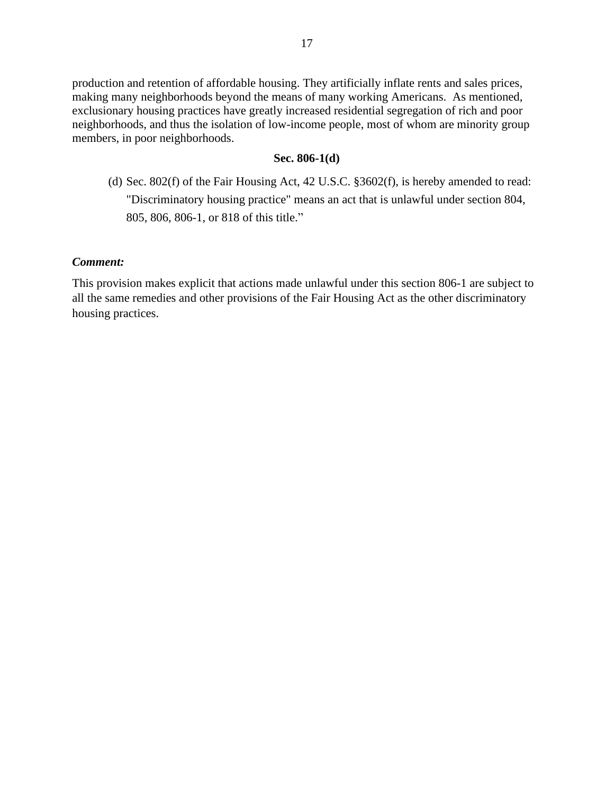production and retention of affordable housing. They artificially inflate rents and sales prices, making many neighborhoods beyond the means of many working Americans. As mentioned, exclusionary housing practices have greatly increased residential segregation of rich and poor neighborhoods, and thus the isolation of low-income people, most of whom are minority group members, in poor neighborhoods.

## **Sec. 806-1(d)**

(d) Sec. 802(f) of the Fair Housing Act, 42 U.S.C. §3602(f), is hereby amended to read: "Discriminatory housing practice" means an act that is unlawful under section 804, 805, 806, 806-1, or 818 of this title."

## *Comment:*

This provision makes explicit that actions made unlawful under this section 806-1 are subject to all the same remedies and other provisions of the Fair Housing Act as the other discriminatory housing practices.